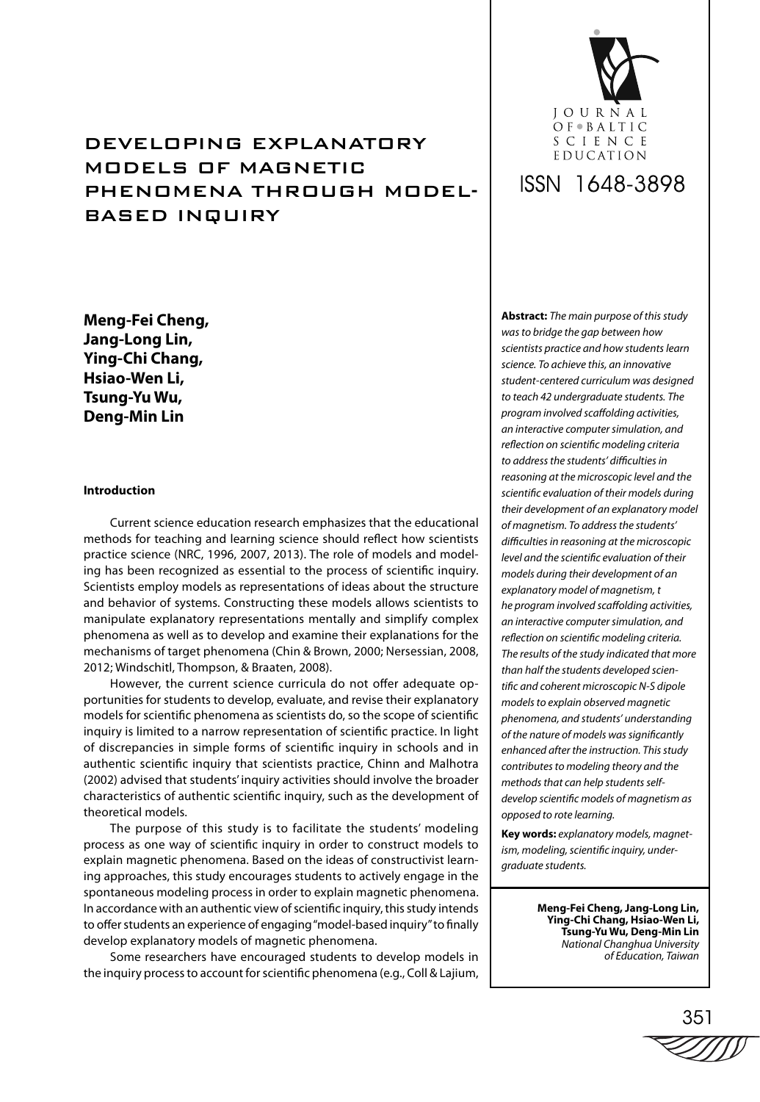# DEVELOPING EXPLANATORY MODELS OF MAGNETIC PHENOMENA THROUGH MODEL-BASED INQUIRY

**Meng-Fei Cheng, Jang-Long Lin, Ying-Chi Chang, Hsiao-Wen Li, Tsung-Yu Wu, Deng-Min Lin**

# **Introduction**

Current science education research emphasizes that the educational methods for teaching and learning science should reflect how scientists practice science (NRC, 1996, 2007, 2013). The role of models and modeling has been recognized as essential to the process of scientific inquiry. Scientists employ models as representations of ideas about the structure and behavior of systems. Constructing these models allows scientists to manipulate explanatory representations mentally and simplify complex phenomena as well as to develop and examine their explanations for the mechanisms of target phenomena (Chin & Brown, 2000; Nersessian, 2008, 2012; Windschitl, Thompson, & Braaten, 2008).

However, the current science curricula do not offer adequate opportunities for students to develop, evaluate, and revise their explanatory models for scientific phenomena as scientists do, so the scope of scientific inquiry is limited to a narrow representation of scientific practice. In light of discrepancies in simple forms of scientific inquiry in schools and in authentic scientific inquiry that scientists practice, Chinn and Malhotra (2002) advised that students' inquiry activities should involve the broader characteristics of authentic scientific inquiry, such as the development of theoretical models.

The purpose of this study is to facilitate the students' modeling process as one way of scientific inquiry in order to construct models to explain magnetic phenomena. Based on the ideas of constructivist learning approaches, this study encourages students to actively engage in the spontaneous modeling process in order to explain magnetic phenomena. In accordance with an authentic view of scientific inquiry, this study intends to offer students an experience of engaging "model-based inquiry" to finally develop explanatory models of magnetic phenomena.

Some researchers have encouraged students to develop models in the inquiry process to account for scientific phenomena (e.g., Coll & Lajium,



# ISSN 1648-3898

**Abstract:** The main purpose of this study was to bridge the gap between how scientists practice and how students learn science. To achieve this, an innovative student-centered curriculum was designed to teach 42 undergraduate students. The program involved scaffolding activities, an interactive computer simulation, and reflection on scientific modeling criteria to address the students' difficulties in reasoning at the microscopic level and the scientific evaluation of their models during their development of an explanatory model of magnetism. To address the students' difficulties in reasoning at the microscopic level and the scientific evaluation of their models during their development of an explanatory model of magnetism, t he program involved scaffolding activities, an interactive computer simulation, and reflection on scientific modeling criteria. The results of the study indicated that more than half the students developed scientific and coherent microscopic N-S dipole models to explain observed magnetic phenomena, and students' understanding of the nature of models was significantly enhanced after the instruction. This study contributes to modeling theory and the methods that can help students selfdevelop scientific models of magnetism as opposed to rote learning.

**Key words:** explanatory models, magnetism, modeling, scientific inquiry, undergraduate students.

> **Meng-Fei Cheng, Jang-Long Lin, Ying-Chi Chang, Hsiao-Wen Li, Tsung-Yu Wu, Deng-Min Lin** National Changhua University of Education, Taiwan

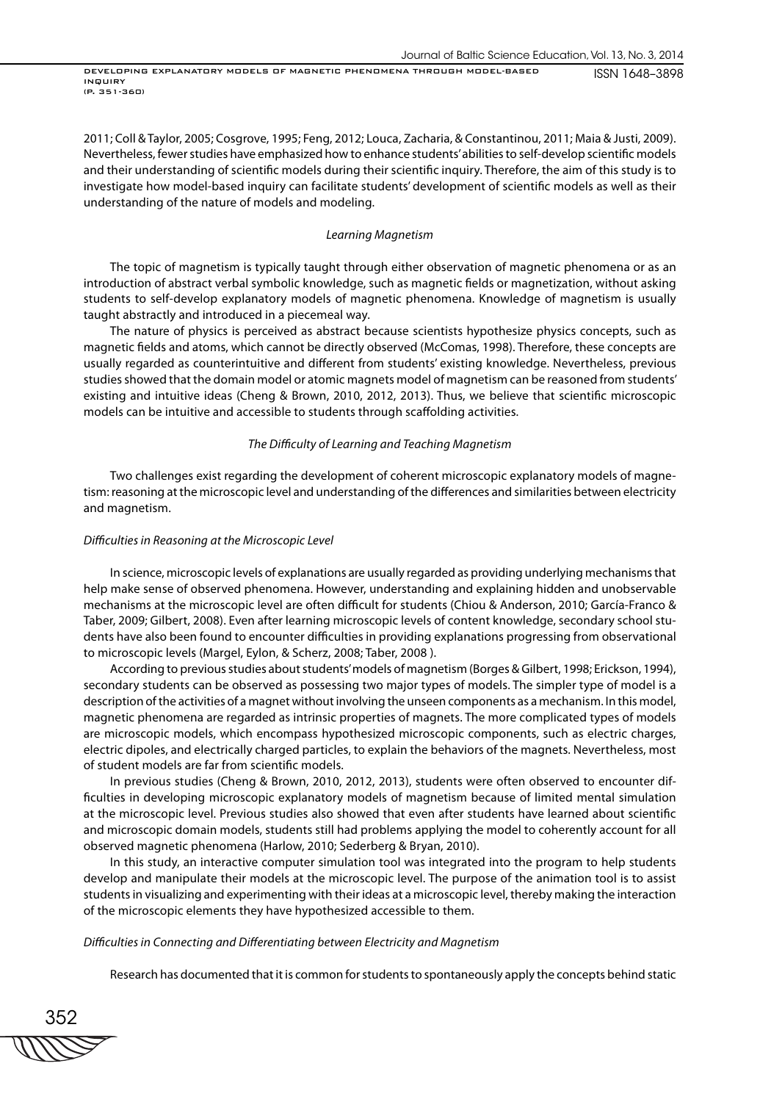2011; Coll & Taylor, 2005; Cosgrove, 1995; Feng, 2012; Louca, Zacharia, & Constantinou, 2011; Maia & Justi, 2009). Nevertheless, fewer studies have emphasized how to enhance students' abilities to self-develop scientific models and their understanding of scientific models during their scientific inquiry. Therefore, the aim of this study is to investigate how model-based inquiry can facilitate students' development of scientific models as well as their understanding of the nature of models and modeling.

### Learning Magnetism

The topic of magnetism is typically taught through either observation of magnetic phenomena or as an introduction of abstract verbal symbolic knowledge, such as magnetic fields or magnetization, without asking students to self-develop explanatory models of magnetic phenomena. Knowledge of magnetism is usually taught abstractly and introduced in a piecemeal way.

The nature of physics is perceived as abstract because scientists hypothesize physics concepts, such as magnetic fields and atoms, which cannot be directly observed (McComas, 1998). Therefore, these concepts are usually regarded as counterintuitive and different from students' existing knowledge. Nevertheless, previous studies showed that the domain model or atomic magnets model of magnetism can be reasoned from students' existing and intuitive ideas (Cheng & Brown, 2010, 2012, 2013). Thus, we believe that scientific microscopic models can be intuitive and accessible to students through scaffolding activities.

# The Difficulty of Learning and Teaching Magnetism

Two challenges exist regarding the development of coherent microscopic explanatory models of magnetism: reasoning at the microscopic level and understanding of the differences and similarities between electricity and magnetism.

### Difficulties in Reasoning at the Microscopic Level

In science, microscopic levels of explanations are usually regarded as providing underlying mechanisms that help make sense of observed phenomena. However, understanding and explaining hidden and unobservable mechanisms at the microscopic level are often difficult for students (Chiou & Anderson, 2010; García-Franco & Taber, 2009; Gilbert, 2008). Even after learning microscopic levels of content knowledge, secondary school students have also been found to encounter difficulties in providing explanations progressing from observational to microscopic levels (Margel, Eylon, & Scherz, 2008; Taber, 2008 ).

According to previous studies about students' models of magnetism (Borges & Gilbert, 1998; Erickson, 1994), secondary students can be observed as possessing two major types of models. The simpler type of model is a description of the activities of a magnet without involving the unseen components as a mechanism. In this model, magnetic phenomena are regarded as intrinsic properties of magnets. The more complicated types of models are microscopic models, which encompass hypothesized microscopic components, such as electric charges, electric dipoles, and electrically charged particles, to explain the behaviors of the magnets. Nevertheless, most of student models are far from scientific models.

In previous studies (Cheng & Brown, 2010, 2012, 2013), students were often observed to encounter difficulties in developing microscopic explanatory models of magnetism because of limited mental simulation at the microscopic level. Previous studies also showed that even after students have learned about scientific and microscopic domain models, students still had problems applying the model to coherently account for all observed magnetic phenomena (Harlow, 2010; Sederberg & Bryan, 2010).

In this study, an interactive computer simulation tool was integrated into the program to help students develop and manipulate their models at the microscopic level. The purpose of the animation tool is to assist students in visualizing and experimenting with their ideas at a microscopic level, thereby making the interaction of the microscopic elements they have hypothesized accessible to them.

#### Difficulties in Connecting and Differentiating between Electricity and Magnetism

Research has documented that it is common for students to spontaneously apply the concepts behind static

352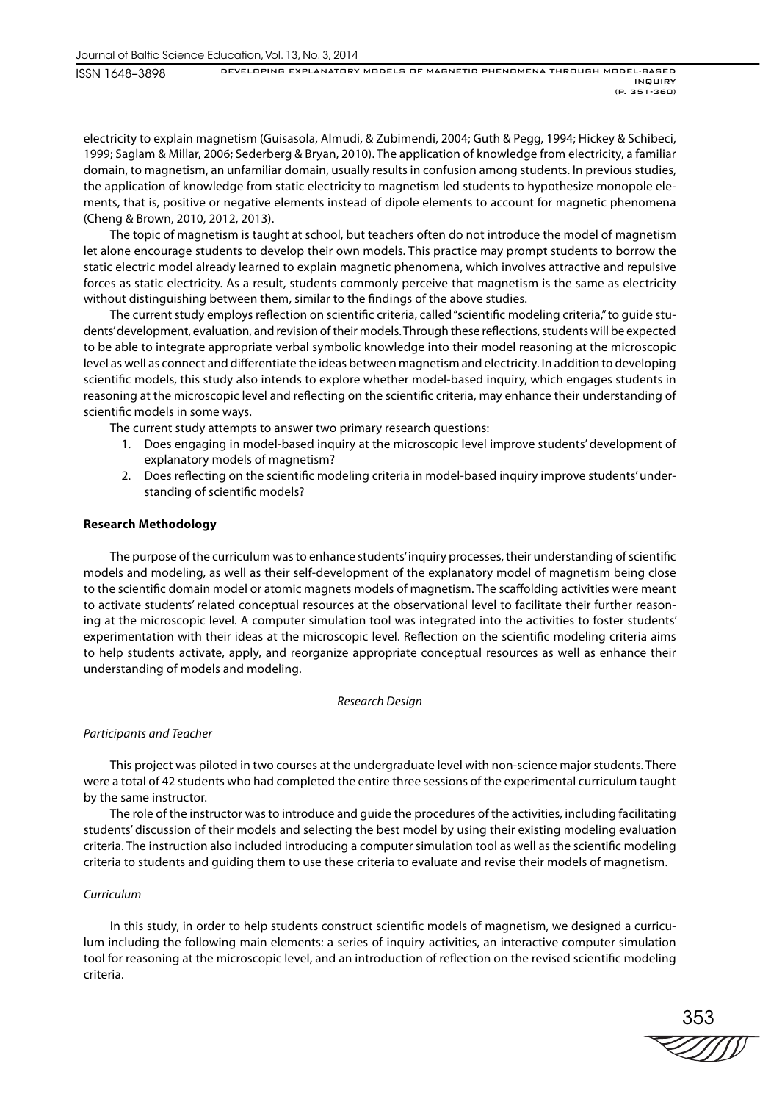ISSN 1648–3898

electricity to explain magnetism (Guisasola, Almudi, & Zubimendi, 2004; Guth & Pegg, 1994; Hickey & Schibeci, 1999; Saglam & Millar, 2006; Sederberg & Bryan, 2010). The application of knowledge from electricity, a familiar domain, to magnetism, an unfamiliar domain, usually results in confusion among students. In previous studies, the application of knowledge from static electricity to magnetism led students to hypothesize monopole elements, that is, positive or negative elements instead of dipole elements to account for magnetic phenomena (Cheng & Brown, 2010, 2012, 2013).

The topic of magnetism is taught at school, but teachers often do not introduce the model of magnetism let alone encourage students to develop their own models. This practice may prompt students to borrow the static electric model already learned to explain magnetic phenomena, which involves attractive and repulsive forces as static electricity. As a result, students commonly perceive that magnetism is the same as electricity without distinguishing between them, similar to the findings of the above studies.

The current study employs reflection on scientific criteria, called "scientific modeling criteria," to quide students' development, evaluation, and revision of their models. Through these reflections, students will be expected to be able to integrate appropriate verbal symbolic knowledge into their model reasoning at the microscopic level as well as connect and differentiate the ideas between magnetism and electricity. In addition to developing scientific models, this study also intends to explore whether model-based inquiry, which engages students in reasoning at the microscopic level and reflecting on the scientific criteria, may enhance their understanding of scientific models in some ways.

The current study attempts to answer two primary research questions:

- 1. Does engaging in model-based inquiry at the microscopic level improve students' development of explanatory models of magnetism?
- 2. Does reflecting on the scientific modeling criteria in model-based inquiry improve students' understanding of scientific models?

# **Research Methodology**

The purpose of the curriculum was to enhance students' inquiry processes, their understanding of scientific models and modeling, as well as their self-development of the explanatory model of magnetism being close to the scientific domain model or atomic magnets models of magnetism. The scaffolding activities were meant to activate students' related conceptual resources at the observational level to facilitate their further reasoning at the microscopic level. A computer simulation tool was integrated into the activities to foster students' experimentation with their ideas at the microscopic level. Reflection on the scientific modeling criteria aims to help students activate, apply, and reorganize appropriate conceptual resources as well as enhance their understanding of models and modeling.

# Research Design

# Participants and Teacher

This project was piloted in two courses at the undergraduate level with non-science major students. There were a total of 42 students who had completed the entire three sessions of the experimental curriculum taught by the same instructor.

The role of the instructor was to introduce and guide the procedures of the activities, including facilitating students' discussion of their models and selecting the best model by using their existing modeling evaluation criteria. The instruction also included introducing a computer simulation tool as well as the scientific modeling criteria to students and guiding them to use these criteria to evaluate and revise their models of magnetism.

# Curriculum

In this study, in order to help students construct scientific models of magnetism, we designed a curriculum including the following main elements: a series of inquiry activities, an interactive computer simulation tool for reasoning at the microscopic level, and an introduction of reflection on the revised scientific modeling criteria.

353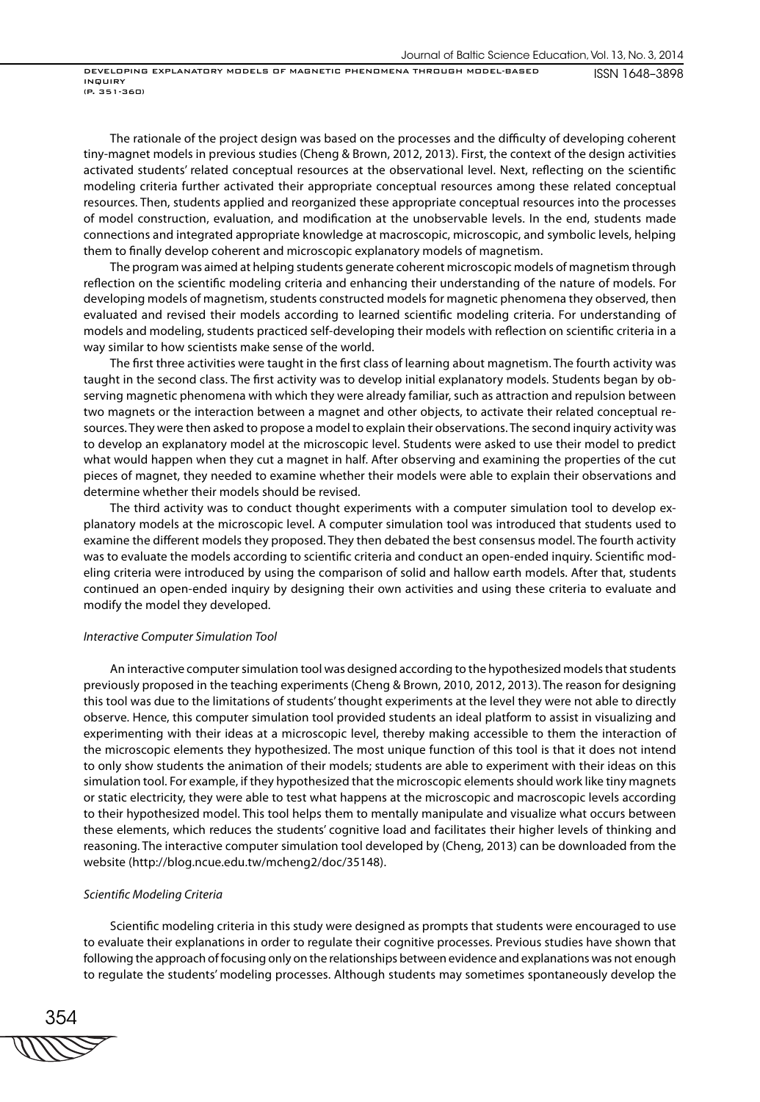The rationale of the project design was based on the processes and the difficulty of developing coherent tiny-magnet models in previous studies (Cheng & Brown, 2012, 2013). First, the context of the design activities activated students' related conceptual resources at the observational level. Next, reflecting on the scientific modeling criteria further activated their appropriate conceptual resources among these related conceptual resources. Then, students applied and reorganized these appropriate conceptual resources into the processes of model construction, evaluation, and modification at the unobservable levels. In the end, students made connections and integrated appropriate knowledge at macroscopic, microscopic, and symbolic levels, helping them to finally develop coherent and microscopic explanatory models of magnetism.

The program was aimed at helping students generate coherent microscopic models of magnetism through reflection on the scientific modeling criteria and enhancing their understanding of the nature of models. For developing models of magnetism, students constructed models for magnetic phenomena they observed, then evaluated and revised their models according to learned scientific modeling criteria. For understanding of models and modeling, students practiced self-developing their models with reflection on scientific criteria in a way similar to how scientists make sense of the world.

The first three activities were taught in the first class of learning about magnetism. The fourth activity was taught in the second class. The first activity was to develop initial explanatory models. Students began by observing magnetic phenomena with which they were already familiar, such as attraction and repulsion between two magnets or the interaction between a magnet and other objects, to activate their related conceptual resources. They were then asked to propose a model to explain their observations. The second inquiry activity was to develop an explanatory model at the microscopic level. Students were asked to use their model to predict what would happen when they cut a magnet in half. After observing and examining the properties of the cut pieces of magnet, they needed to examine whether their models were able to explain their observations and determine whether their models should be revised.

The third activity was to conduct thought experiments with a computer simulation tool to develop explanatory models at the microscopic level. A computer simulation tool was introduced that students used to examine the different models they proposed. They then debated the best consensus model. The fourth activity was to evaluate the models according to scientific criteria and conduct an open-ended inquiry. Scientific modeling criteria were introduced by using the comparison of solid and hallow earth models. After that, students continued an open-ended inquiry by designing their own activities and using these criteria to evaluate and modify the model they developed.

## Interactive Computer Simulation Tool

An interactive computer simulation tool was designed according to the hypothesized models that students previously proposed in the teaching experiments (Cheng & Brown, 2010, 2012, 2013). The reason for designing this tool was due to the limitations of students' thought experiments at the level they were not able to directly observe. Hence, this computer simulation tool provided students an ideal platform to assist in visualizing and experimenting with their ideas at a microscopic level, thereby making accessible to them the interaction of the microscopic elements they hypothesized. The most unique function of this tool is that it does not intend to only show students the animation of their models; students are able to experiment with their ideas on this simulation tool. For example, if they hypothesized that the microscopic elements should work like tiny magnets or static electricity, they were able to test what happens at the microscopic and macroscopic levels according to their hypothesized model. This tool helps them to mentally manipulate and visualize what occurs between these elements, which reduces the students' cognitive load and facilitates their higher levels of thinking and reasoning. The interactive computer simulation tool developed by (Cheng, 2013) can be downloaded from the website (http://blog.ncue.edu.tw/mcheng2/doc/35148).

#### Scientific Modeling Criteria

Scientific modeling criteria in this study were designed as prompts that students were encouraged to use to evaluate their explanations in order to regulate their cognitive processes. Previous studies have shown that following the approach of focusing only on the relationships between evidence and explanations was not enough to regulate the students' modeling processes. Although students may sometimes spontaneously develop the

354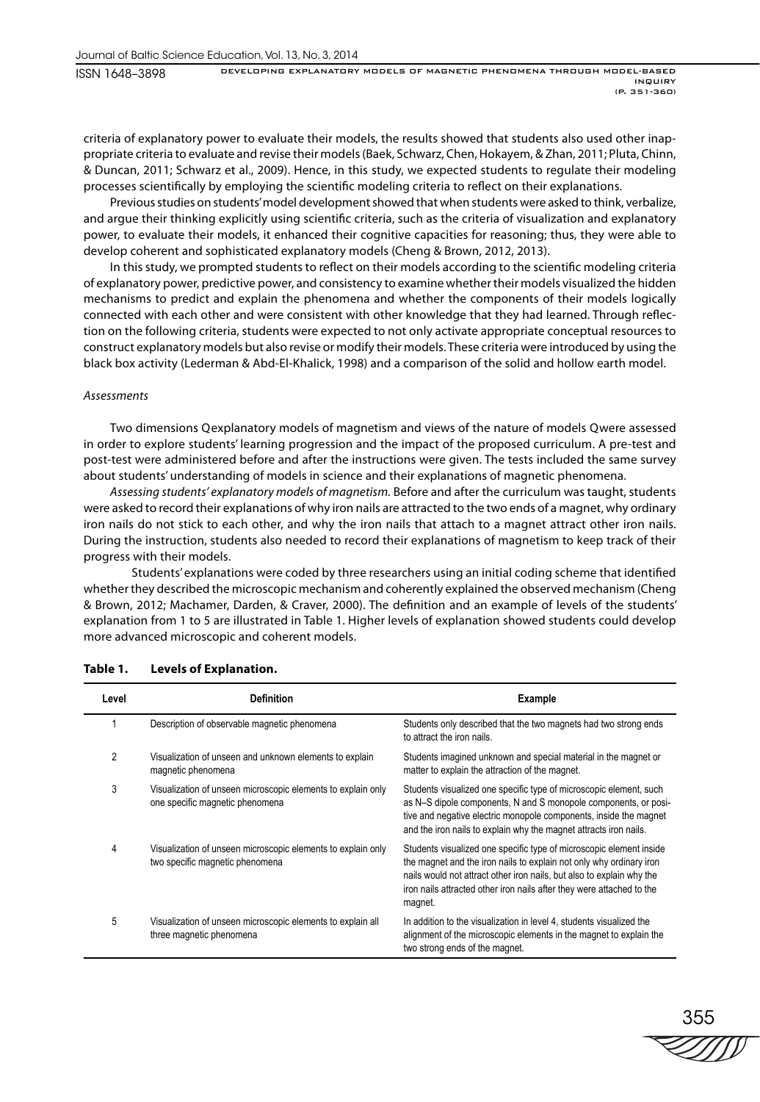ISSN 1648–3898

criteria of explanatory power to evaluate their models, the results showed that students also used other inappropriate criteria to evaluate and revise their models (Baek, Schwarz, Chen, Hokayem, & Zhan, 2011; Pluta, Chinn, & Duncan, 2011; Schwarz et al., 2009). Hence, in this study, we expected students to regulate their modeling processes scientifically by employing the scientific modeling criteria to reflect on their explanations.

Previous studies on students' model development showed that when students were asked to think, verbalize, and argue their thinking explicitly using scientific criteria, such as the criteria of visualization and explanatory power, to evaluate their models, it enhanced their cognitive capacities for reasoning; thus, they were able to develop coherent and sophisticated explanatory models (Cheng & Brown, 2012, 2013).

In this study, we prompted students to reflect on their models according to the scientific modeling criteria of explanatory power, predictive power, and consistency to examine whether their models visualized the hidden mechanisms to predict and explain the phenomena and whether the components of their models logically connected with each other and were consistent with other knowledge that they had learned. Through reflection on the following criteria, students were expected to not only activate appropriate conceptual resources to construct explanatory models but also revise or modify their models. These criteria were introduced by using the black box activity (Lederman & Abd-El-Khalick, 1998) and a comparison of the solid and hollow earth model.

# Assessments

Two dimensions Q explanatory models of magnetism and views of the nature of models Q were assessed in order to explore students' learning progression and the impact of the proposed curriculum. A pre-test and post-test were administered before and after the instructions were given. The tests included the same survey about students' understanding of models in science and their explanations of magnetic phenomena.

Assessing students' explanatory models of magnetism. Before and after the curriculum was taught, students were asked to record their explanations of why iron nails are attracted to the two ends of a magnet, why ordinary iron nails do not stick to each other, and why the iron nails that attach to a magnet attract other iron nails. During the instruction, students also needed to record their explanations of magnetism to keep track of their progress with their models.

Students' explanations were coded by three researchers using an initial coding scheme that identified whether they described the microscopic mechanism and coherently explained the observed mechanism (Cheng & Brown, 2012; Machamer, Darden, & Craver, 2000). The definition and an example of levels of the students' explanation from 1 to 5 are illustrated in Table 1. Higher levels of explanation showed students could develop more advanced microscopic and coherent models.

| Level | <b>Definition</b>                                                                               | Example                                                                                                                                                                                                                                                                                                 |
|-------|-------------------------------------------------------------------------------------------------|---------------------------------------------------------------------------------------------------------------------------------------------------------------------------------------------------------------------------------------------------------------------------------------------------------|
|       | Description of observable magnetic phenomena                                                    | Students only described that the two magnets had two strong ends<br>to attract the iron nails.                                                                                                                                                                                                          |
| 2     | Visualization of unseen and unknown elements to explain<br>magnetic phenomena                   | Students imagined unknown and special material in the magnet or<br>matter to explain the attraction of the magnet.                                                                                                                                                                                      |
| 3     | Visualization of unseen microscopic elements to explain only<br>one specific magnetic phenomena | Students visualized one specific type of microscopic element, such<br>as N-S dipole components, N and S monopole components, or posi-<br>tive and negative electric monopole components, inside the magnet<br>and the iron nails to explain why the magnet attracts iron nails.                         |
| 4     | Visualization of unseen microscopic elements to explain only<br>two specific magnetic phenomena | Students visualized one specific type of microscopic element inside<br>the magnet and the iron nails to explain not only why ordinary iron<br>nails would not attract other iron nails, but also to explain why the<br>iron nails attracted other iron nails after they were attached to the<br>magnet. |
| 5     | Visualization of unseen microscopic elements to explain all<br>three magnetic phenomena         | In addition to the visualization in level 4, students visualized the<br>alignment of the microscopic elements in the magnet to explain the<br>two strong ends of the magnet.                                                                                                                            |

# **Table 1. Levels of Explanation.**

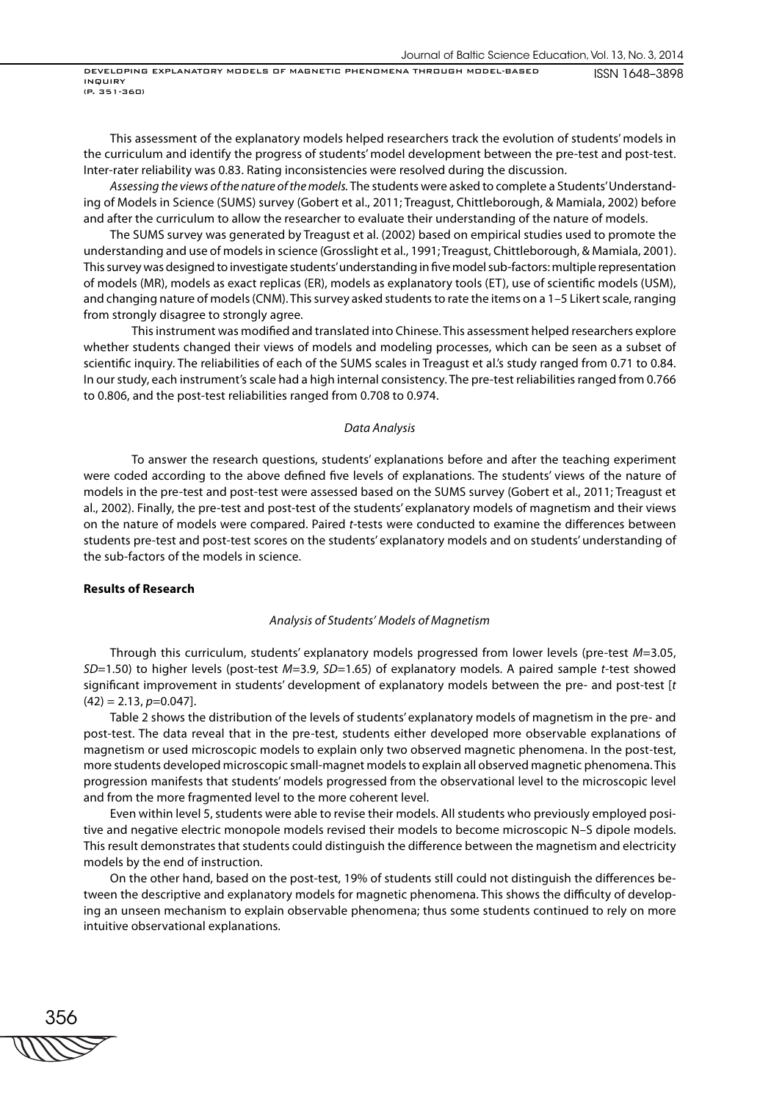This assessment of the explanatory models helped researchers track the evolution of students' models in the curriculum and identify the progress of students' model development between the pre-test and post-test. Inter-rater reliability was 0.83. Rating inconsistencies were resolved during the discussion.

Assessing the views of the nature of the models. The students were asked to complete a Students' Understanding of Models in Science (SUMS) survey (Gobert et al., 2011; Treagust, Chittleborough, & Mamiala, 2002) before and after the curriculum to allow the researcher to evaluate their understanding of the nature of models.

The SUMS survey was generated by Treagust et al. (2002) based on empirical studies used to promote the understanding and use of models in science (Grosslight et al., 1991; Treagust, Chittleborough, & Mamiala, 2001). This survey was designed to investigate students' understanding in five model sub-factors: multiple representation of models (MR), models as exact replicas (ER), models as explanatory tools (ET), use of scientific models (USM), and changing nature of models (CNM). This survey asked students to rate the items on a 1–5 Likert scale, ranging from strongly disagree to strongly agree.

This instrument was modified and translated into Chinese. This assessment helped researchers explore whether students changed their views of models and modeling processes, which can be seen as a subset of scientific inquiry. The reliabilities of each of the SUMS scales in Treagust et al.'s study ranged from 0.71 to 0.84. In our study, each instrument's scale had a high internal consistency. The pre-test reliabilities ranged from 0.766 to 0.806, and the post-test reliabilities ranged from 0.708 to 0.974.

#### Data Analysis

 To answer the research questions, students' explanations before and after the teaching experiment were coded according to the above defined five levels of explanations. The students' views of the nature of models in the pre-test and post-test were assessed based on the SUMS survey (Gobert et al., 2011; Treagust et al., 2002). Finally, the pre-test and post-test of the students' explanatory models of magnetism and their views on the nature of models were compared. Paired t-tests were conducted to examine the differences between students pre-test and post-test scores on the students' explanatory models and on students' understanding of the sub-factors of the models in science.

### **Results of Research**

# Analysis of Students' Models of Magnetism

Through this curriculum, students' explanatory models progressed from lower levels (pre-test M=3.05,  $SD=1.50$ ) to higher levels (post-test  $M=3.9$ ,  $SD=1.65$ ) of explanatory models. A paired sample t-test showed significant improvement in students' development of explanatory models between the pre- and post-test [t  $(42) = 2.13$ ,  $p=0.047$ ].

Table 2 shows the distribution of the levels of students' explanatory models of magnetism in the pre- and post-test. The data reveal that in the pre-test, students either developed more observable explanations of magnetism or used microscopic models to explain only two observed magnetic phenomena. In the post-test, more students developed microscopic small-magnet models to explain all observed magnetic phenomena. This progression manifests that students' models progressed from the observational level to the microscopic level and from the more fragmented level to the more coherent level.

Even within level 5, students were able to revise their models. All students who previously employed positive and negative electric monopole models revised their models to become microscopic N–S dipole models. This result demonstrates that students could distinguish the difference between the magnetism and electricity models by the end of instruction.

On the other hand, based on the post-test, 19% of students still could not distinguish the differences between the descriptive and explanatory models for magnetic phenomena. This shows the difficulty of developing an unseen mechanism to explain observable phenomena; thus some students continued to rely on more intuitive observational explanations.

356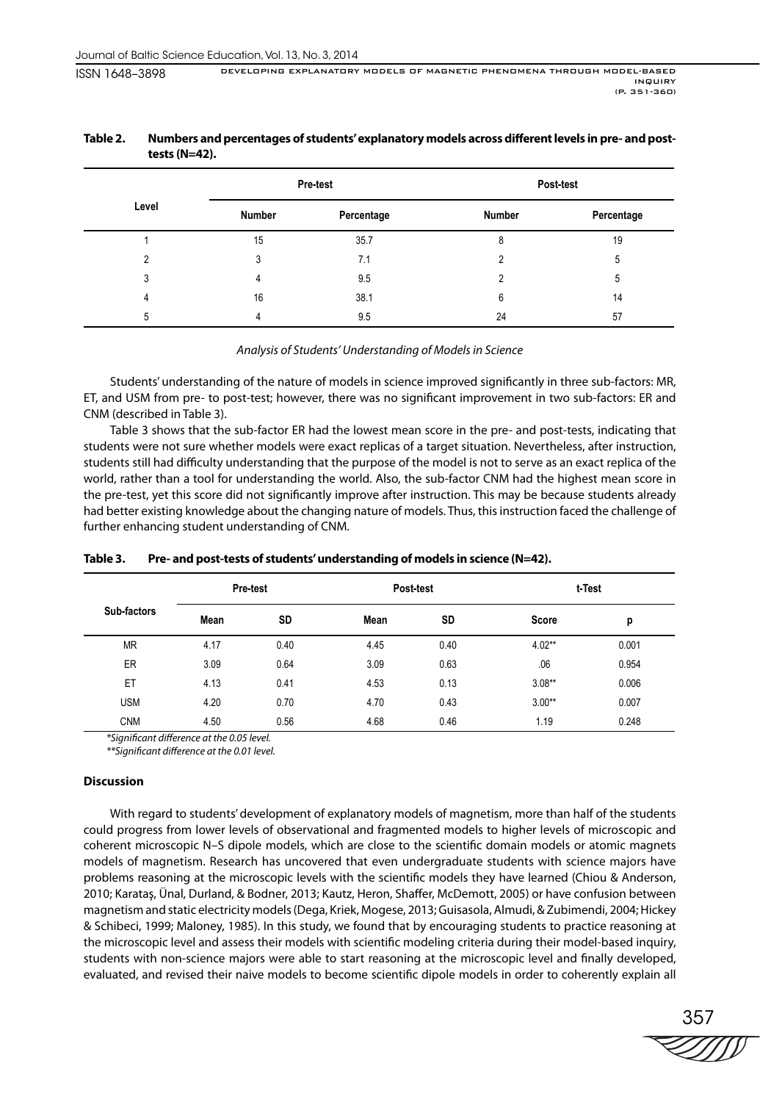|       | <b>Pre-test</b> |            | Post-test |            |  |
|-------|-----------------|------------|-----------|------------|--|
| Level | Number          | Percentage | Number    | Percentage |  |
|       | 15              | 35.7       | 8         | 19         |  |
| C     | 3               | 7.1        | റ         | 5          |  |
| 3     | 4               | 9.5        | າ         | 5          |  |
| 4     | 16              | 38.1       | 6         | 14         |  |
| 5     |                 | 9.5        | 24        | 57         |  |

# Table 2. Numbers and percentages of students' explanatory models across different levels in pre- and post**tests (N=42).**

# Analysis of Students' Understanding of Models in Science

Students' understanding of the nature of models in science improved significantly in three sub-factors: MR, ET, and USM from pre- to post-test; however, there was no significant improvement in two sub-factors: ER and CNM (described in Table 3).

Table 3 shows that the sub-factor ER had the lowest mean score in the pre- and post-tests, indicating that students were not sure whether models were exact replicas of a target situation. Nevertheless, after instruction, students still had difficulty understanding that the purpose of the model is not to serve as an exact replica of the world, rather than a tool for understanding the world. Also, the sub-factor CNM had the highest mean score in the pre-test, yet this score did not significantly improve after instruction. This may be because students already had better existing knowledge about the changing nature of models. Thus, this instruction faced the challenge of further enhancing student understanding of CNM.

|             | <b>Pre-test</b> |           | Post-test |      | t-Test       |       |
|-------------|-----------------|-----------|-----------|------|--------------|-------|
| Sub-factors | Mean            | <b>SD</b> | Mean      | SD   | <b>Score</b> | р     |
| <b>MR</b>   | 4.17            | 0.40      | 4.45      | 0.40 | $4.02**$     | 0.001 |
| ER          | 3.09            | 0.64      | 3.09      | 0.63 | .06          | 0.954 |
| ET          | 4.13            | 0.41      | 4.53      | 0.13 | $3.08**$     | 0.006 |
| <b>USM</b>  | 4.20            | 0.70      | 4.70      | 0.43 | $3.00**$     | 0.007 |
| <b>CNM</b>  | 4.50            | 0.56      | 4.68      | 0.46 | 1.19         | 0.248 |

# **Table 3. Pre- and post-tests of students' understanding of models in science (N=42).**

\*Significant difference at the 0.05 level.

\*\*Significant difference at the 0.01 level.

# **Discussion**

With regard to students' development of explanatory models of magnetism, more than half of the students could progress from lower levels of observational and fragmented models to higher levels of microscopic and coherent microscopic N-S dipole models, which are close to the scientific domain models or atomic magnets models of magnetism. Research has uncovered that even undergraduate students with science majors have problems reasoning at the microscopic levels with the scientific models they have learned (Chiou & Anderson, 2010; Karataş, Ünal, Durland, & Bodner, 2013; Kautz, Heron, Shaffer, McDemott, 2005) or have confusion between magnetism and static electricity models (Dega, Kriek, Mogese, 2013; Guisasola, Almudi, & Zubimendi, 2004; Hickey & Schibeci, 1999; Maloney, 1985). In this study, we found that by encouraging students to practice reasoning at the microscopic level and assess their models with scientific modeling criteria during their model-based inquiry, students with non-science majors were able to start reasoning at the microscopic level and finally developed, evaluated, and revised their naive models to become scientific dipole models in order to coherently explain all

357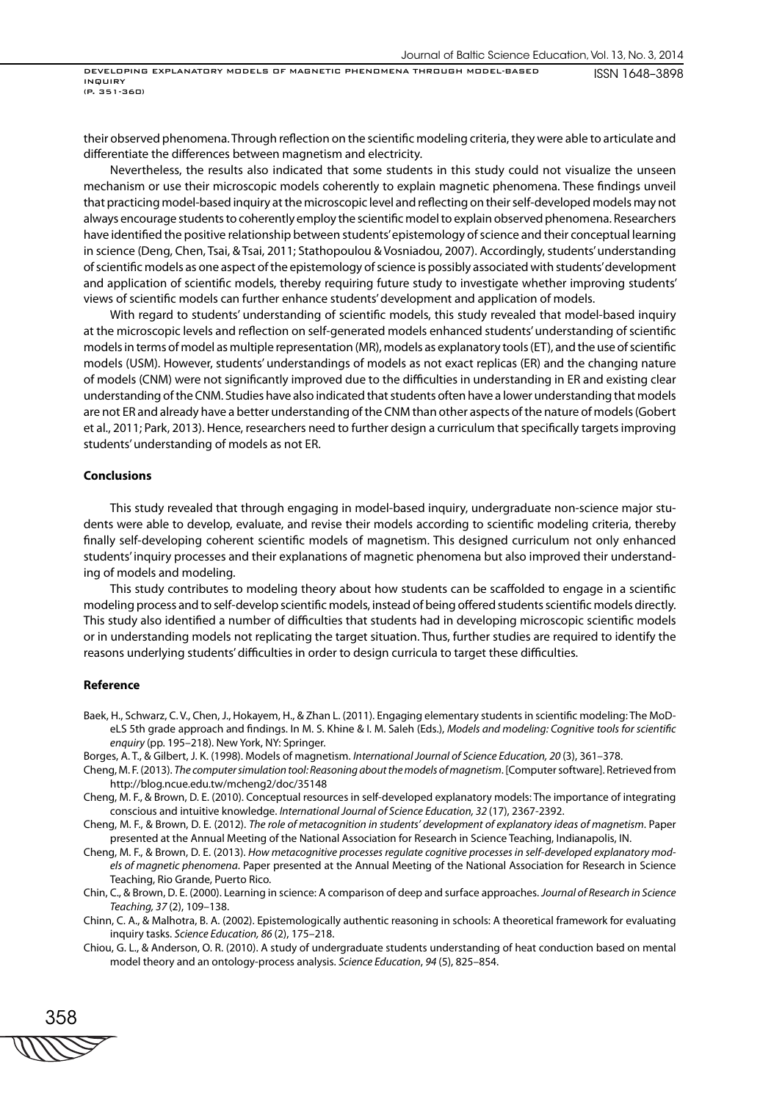their observed phenomena. Through reflection on the scientific modeling criteria, they were able to articulate and differentiate the differences between magnetism and electricity.

Nevertheless, the results also indicated that some students in this study could not visualize the unseen mechanism or use their microscopic models coherently to explain magnetic phenomena. These findings unveil that practicing model-based inquiry at the microscopic level and reflecting on their self-developed models may not always encourage students to coherently employ the scientific model to explain observed phenomena. Researchers have identified the positive relationship between students' epistemology of science and their conceptual learning in science (Deng, Chen, Tsai, & Tsai, 2011; Stathopoulou & Vosniadou, 2007). Accordingly, students' understanding of scientific models as one aspect of the epistemology of science is possibly associated with students' development and application of scientific models, thereby requiring future study to investigate whether improving students' views of scientific models can further enhance students' development and application of models.

With regard to students' understanding of scientific models, this study revealed that model-based inquiry at the microscopic levels and reflection on self-generated models enhanced students' understanding of scientific models in terms of model as multiple representation (MR), models as explanatory tools (ET), and the use of scientific models (USM). However, students' understandings of models as not exact replicas (ER) and the changing nature of models (CNM) were not significantly improved due to the difficulties in understanding in ER and existing clear understanding of the CNM. Studies have also indicated that students often have a lower understanding that models are not ER and already have a better understanding of the CNM than other aspects of the nature of models (Gobert et al., 2011; Park, 2013). Hence, researchers need to further design a curriculum that specifically targets improving students' understanding of models as not ER.

#### **Conclusions**

This study revealed that through engaging in model-based inquiry, undergraduate non-science major students were able to develop, evaluate, and revise their models according to scientific modeling criteria, thereby finally self-developing coherent scientific models of magnetism. This designed curriculum not only enhanced students' inquiry processes and their explanations of magnetic phenomena but also improved their understanding of models and modeling.

This study contributes to modeling theory about how students can be scaffolded to engage in a scientific modeling process and to self-develop scientific models, instead of being offered students scientific models directly. This study also identified a number of difficulties that students had in developing microscopic scientific models or in understanding models not replicating the target situation. Thus, further studies are required to identify the reasons underlying students' difficulties in order to design curricula to target these difficulties.

#### **Reference**

- Baek, H., Schwarz, C. V., Chen, J., Hokayem, H., & Zhan L. (2011). Engaging elementary students in scientific modeling: The MoDeLS 5th grade approach and findings. In M. S. Khine & I. M. Saleh (Eds.), Models and modeling: Cognitive tools for scientific enquiry (pp. 195–218). New York, NY: Springer.
- Borges, A. T., & Gilbert, J. K. (1998). Models of magnetism. International Journal of Science Education, 20 (3), 361–378.
- Cheng, M. F. (2013). The computer simulation tool: Reasoning about the models of magnetism. [Computer software]. Retrieved from http://blog.ncue.edu.tw/mcheng2/doc/35148
- Cheng, M. F., & Brown, D. E. (2010). Conceptual resources in self-developed explanatory models: The importance of integrating conscious and intuitive knowledge. International Journal of Science Education, 32 (17), 2367-2392.
- Cheng, M. F., & Brown, D. E. (2012). The role of metacognition in students' development of explanatory ideas of magnetism. Paper presented at the Annual Meeting of the National Association for Research in Science Teaching, Indianapolis, IN.
- Cheng, M. F., & Brown, D. E. (2013). How metacognitive processes regulate cognitive processes in self-developed explanatory models of magnetic phenomena. Paper presented at the Annual Meeting of the National Association for Research in Science Teaching, Rio Grande, Puerto Rico.
- Chin, C., & Brown, D. E. (2000). Learning in science: A comparison of deep and surface approaches. Journal of Research in Science Teaching, 37 (2), 109–138.
- Chinn, C. A., & Malhotra, B. A. (2002). Epistemologically authentic reasoning in schools: A theoretical framework for evaluating inquiry tasks. Science Education, 86 (2), 175–218.
- Chiou, G. L., & Anderson, O. R. (2010). A study of undergraduate students understanding of heat conduction based on mental model theory and an ontology-process analysis. Science Education, 94 (5), 825–854.

358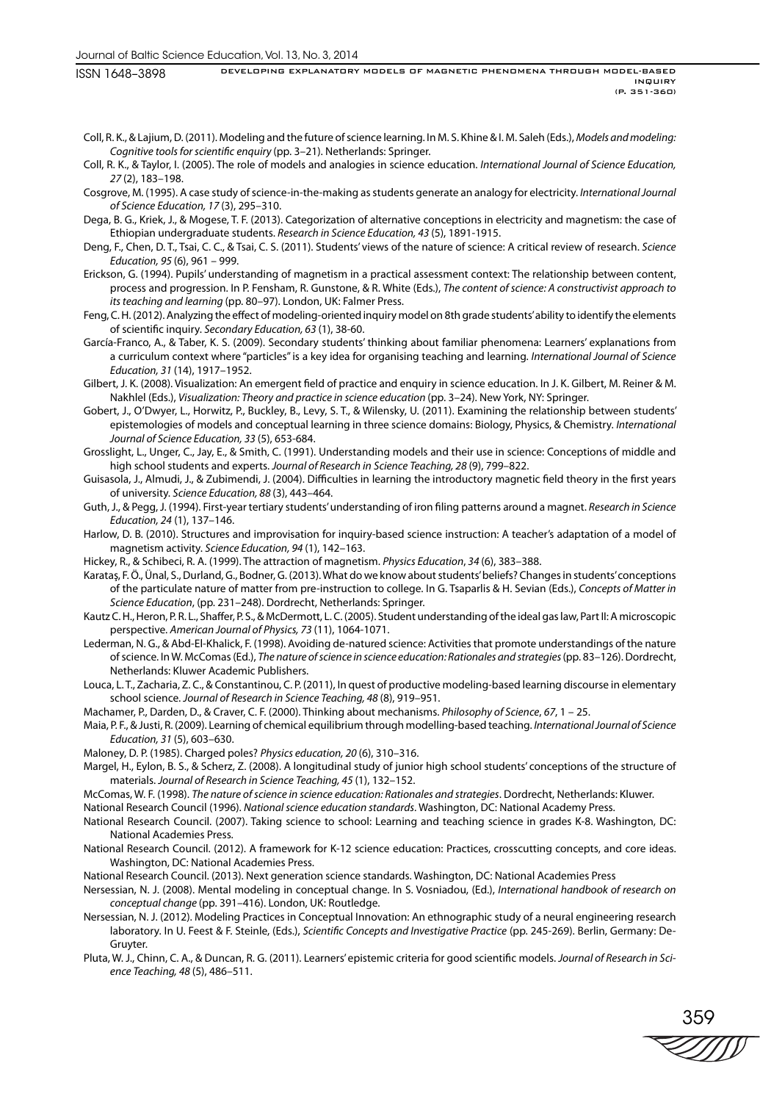ISSN 1648–3898

Coll, R. K., & Lajium, D. (2011). Modeling and the future of science learning. In M. S. Khine & I. M. Saleh (Eds.), Models and modeling: Cognitive tools for scientific enquiry (pp. 3-21). Netherlands: Springer.

- Coll, R. K., & Taylor, I. (2005). The role of models and analogies in science education. International Journal of Science Education, 27 (2), 183–198.
- Cosgrove, M. (1995). A case study of science-in-the-making as students generate an analogy for electricity. International Journal of Science Education, 17 (3), 295–310.
- Dega, B. G., Kriek, J., & Mogese, T. F. (2013). Categorization of alternative conceptions in electricity and magnetism: the case of Ethiopian undergraduate students. Research in Science Education, 43 (5), 1891-1915.
- Deng, F., Chen, D. T., Tsai, C. C., & Tsai, C. S. (2011). Students' views of the nature of science: A critical review of research. Science Education, 95 (6), 961 – 999.
- Erickson, G. (1994). Pupils' understanding of magnetism in a practical assessment context: The relationship between content, process and progression. In P. Fensham, R. Gunstone, & R. White (Eds.), The content of science: A constructivist approach to its teaching and learning (pp. 80–97). London, UK: Falmer Press.
- Feng, C. H. (2012). Analyzing the effect of modeling-oriented inquiry model on 8th grade students' ability to identify the elements of scientific inquiry. Secondary Education, 63 (1), 38-60.
- García-Franco, A., & Taber, K. S. (2009). Secondary students' thinking about familiar phenomena: Learners' explanations from a curriculum context where "particles" is a key idea for organising teaching and learning. International Journal of Science Education, 31 (14), 1917–1952.
- Gilbert, J. K. (2008). Visualization: An emergent field of practice and enquiry in science education. In J. K. Gilbert, M. Reiner & M. Nakhlel (Eds.), Visualization: Theory and practice in science education (pp. 3–24). New York, NY: Springer.
- Gobert, J., O'Dwyer, L., Horwitz, P., Buckley, B., Levy, S. T., & Wilensky, U. (2011). Examining the relationship between students' epistemologies of models and conceptual learning in three science domains: Biology, Physics, & Chemistry. International Journal of Science Education, 33 (5), 653-684.
- Grosslight, L., Unger, C., Jay, E., & Smith, C. (1991). Understanding models and their use in science: Conceptions of middle and high school students and experts. Journal of Research in Science Teaching, 28 (9), 799–822.
- Guisasola, J., Almudi, J., & Zubimendi, J. (2004). Difficulties in learning the introductory magnetic field theory in the first years of university. Science Education, 88 (3), 443–464.
- Guth, J., & Pegg, J. (1994). First-year tertiary students' understanding of iron filing patterns around a magnet. Research in Science Education, 24 (1), 137–146.
- Harlow, D. B. (2010). Structures and improvisation for inquiry-based science instruction: A teacher's adaptation of a model of magnetism activity. Science Education, 94 (1), 142–163.
- Hickey, R., & Schibeci, R. A. (1999). The attraction of magnetism. Physics Education, 34 (6), 383–388.
- Karataş, F. Ö., Ünal, S., Durland, G., Bodner, G. (2013). What do we know about students' beliefs? Changes in students' conceptions of the particulate nature of matter from pre-instruction to college. In G. Tsaparlis & H. Sevian (Eds.), Concepts of Matter in Science Education, (pp. 231–248). Dordrecht, Netherlands: Springer.
- Kautz C. H., Heron, P. R. L., Shaffer, P. S., & McDermott, L. C. (2005). Student understanding of the ideal gas law, Part II: A microscopic perspective. American Journal of Physics, 73 (11), 1064-1071.
- Lederman, N. G., & Abd-El-Khalick, F. (1998). Avoiding de-natured science: Activities that promote understandings of the nature of science. In W. McComas (Ed.), The nature of science in science education: Rationales and strategies (pp. 83–126). Dordrecht, Netherlands: Kluwer Academic Publishers.
- Louca, L. T., Zacharia, Z. C., & Constantinou, C. P. (2011), In quest of productive modeling-based learning discourse in elementary school science. Journal of Research in Science Teaching, 48 (8), 919–951.
- Machamer, P., Darden, D., & Craver, C. F. (2000). Thinking about mechanisms. Philosophy of Science, 67, 1 25.
- Maia, P. F., & Justi, R. (2009). Learning of chemical equilibrium through modelling-based teaching. International Journal of Science Education, 31 (5), 603–630.
- Maloney, D. P. (1985). Charged poles? Physics education, 20 (6), 310–316.
- Margel, H., Eylon, B. S., & Scherz, Z. (2008). A longitudinal study of junior high school students' conceptions of the structure of materials. Journal of Research in Science Teaching, 45 (1), 132–152.
- McComas, W. F. (1998). The nature of science in science education: Rationales and strategies. Dordrecht, Netherlands: Kluwer.

National Research Council (1996). National science education standards. Washington, DC: National Academy Press.

- National Research Council. (2007). Taking science to school: Learning and teaching science in grades K-8. Washington, DC: National Academies Press.
- National Research Council. (2012). A framework for K-12 science education: Practices, crosscutting concepts, and core ideas. Washington, DC: National Academies Press.
- National Research Council. (2013). Next generation science standards. Washington, DC: National Academies Press
- Nersessian, N. J. (2008). Mental modeling in conceptual change. In S. Vosniadou, (Ed.), International handbook of research on conceptual change (pp. 391–416). London, UK: Routledge.
- Nersessian, N. J. (2012). Modeling Practices in Conceptual Innovation: An ethnographic study of a neural engineering research laboratory. In U. Feest & F. Steinle, (Eds.), Scientific Concepts and Investigative Practice (pp. 245-269). Berlin, Germany: De-Gruyter.
- Pluta, W. J., Chinn, C. A., & Duncan, R. G. (2011). Learners' epistemic criteria for good scientific models. Journal of Research in Science Teaching, 48 (5), 486–511.

359